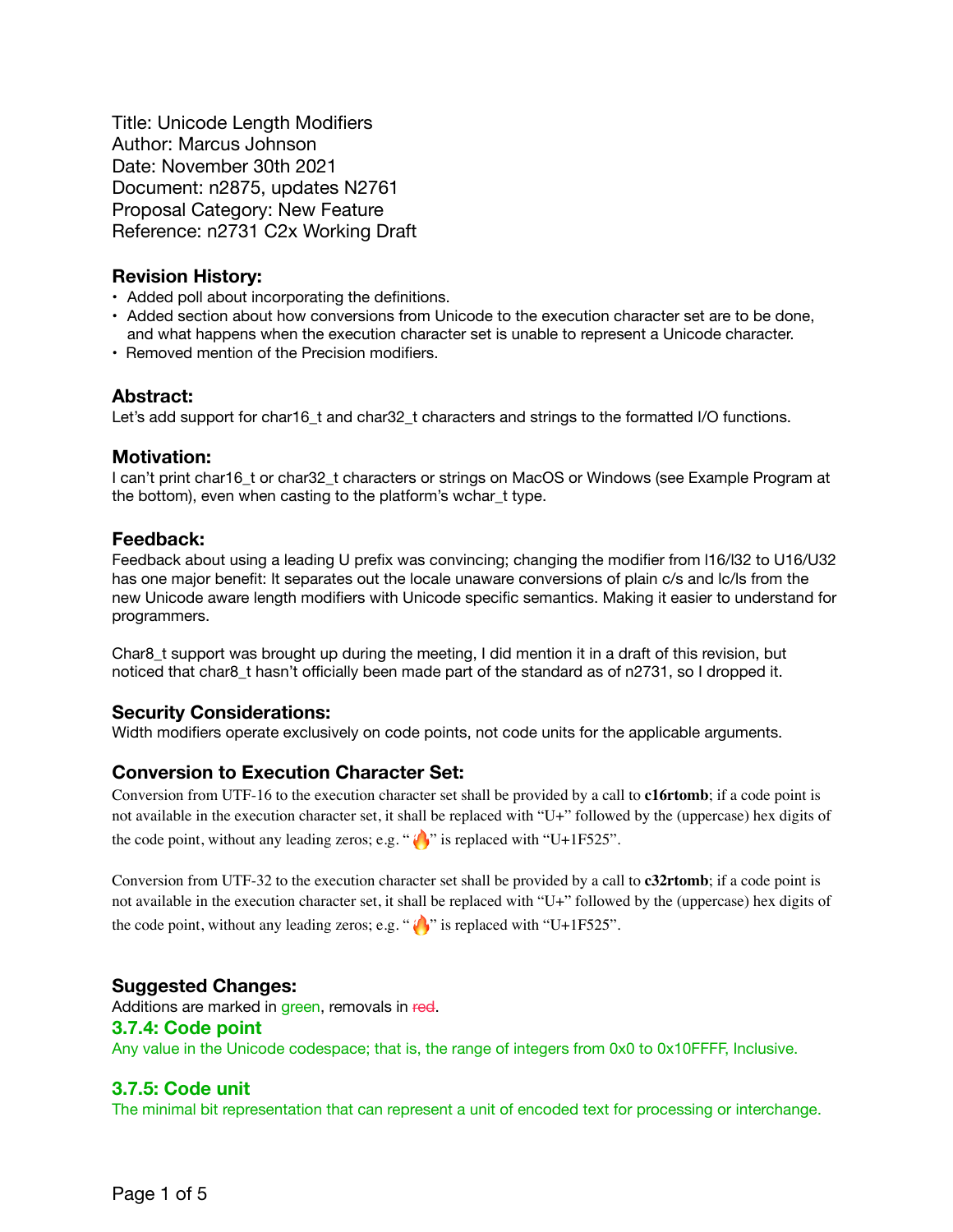Title: Unicode Length Modifiers Author: Marcus Johnson Date: November 30th 2021 Document: n2875, updates N2761 Proposal Category: New Feature Reference: n2731 C2x Working Draft

# **Revision History:**

- **•** Added poll about incorporating the definitions.
- **•** Added section about how conversions from Unicode to the execution character set are to be done, and what happens when the execution character set is unable to represent a Unicode character.
- Removed mention of the Precision modifiers.

# **Abstract:**

Let's add support for char16\_t and char32\_t characters and strings to the formatted I/O functions.

# **Motivation:**

I can't print char16\_t or char32\_t characters or strings on MacOS or Windows (see Example Program at the bottom), even when casting to the platform's wchar\_t type.

# **Feedback:**

Feedback about using a leading U prefix was convincing; changing the modifier from l16/l32 to U16/U32 has one major benefit: It separates out the locale unaware conversions of plain c/s and lc/ls from the new Unicode aware length modifiers with Unicode specific semantics. Making it easier to understand for programmers.

Char8\_t support was brought up during the meeting, I did mention it in a draft of this revision, but noticed that char8\_t hasn't officially been made part of the standard as of n2731, so I dropped it.

# **Security Considerations:**

Width modifiers operate exclusively on code points, not code units for the applicable arguments.

# **Conversion to Execution Character Set:**

Conversion from UTF-16 to the execution character set shall be provided by a call to **c16rtomb**; if a code point is not available in the execution character set, it shall be replaced with "U+" followed by the (uppercase) hex digits of the code point, without any leading zeros; e.g. " $\langle \cdot \rangle$ " is replaced with "U+1F525".

Conversion from UTF-32 to the execution character set shall be provided by a call to **c32rtomb**; if a code point is not available in the execution character set, it shall be replaced with "U+" followed by the (uppercase) hex digits of the code point, without any leading zeros; e.g. " $\langle \cdot \rangle$ " is replaced with "U+1F525".

# **Suggested Changes:**

Additions are marked in green, removals in red.

# **3.7.4: Code point**

Any value in the Unicode codespace; that is, the range of integers from 0x0 to 0x10FFFF, Inclusive.

# **3.7.5: Code unit**

The minimal bit representation that can represent a unit of encoded text for processing or interchange.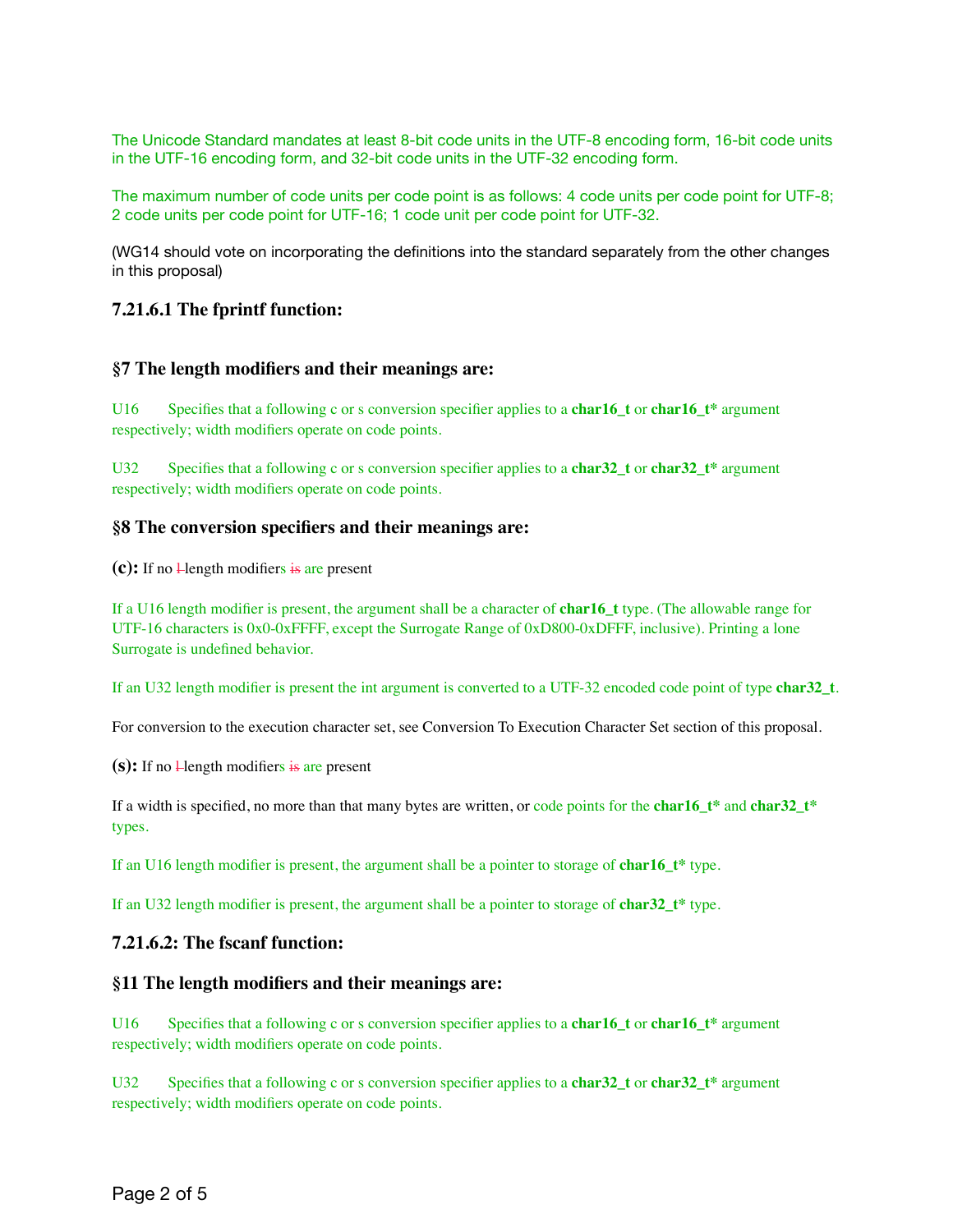The Unicode Standard mandates at least 8-bit code units in the UTF-8 encoding form, 16-bit code units in the UTF-16 encoding form, and 32-bit code units in the UTF-32 encoding form.

The maximum number of code units per code point is as follows: 4 code units per code point for UTF-8; 2 code units per code point for UTF-16; 1 code unit per code point for UTF-32.

(WG14 should vote on incorporating the definitions into the standard separately from the other changes in this proposal)

### **7.21.6.1 The fprintf function:**

### **§7 The length modifiers and their meanings are:**

U16 Specifies that a following c or s conversion specifier applies to a **char16\_t** or **char16\_t\*** argument respectively; width modifiers operate on code points.

U32 Specifies that a following c or s conversion specifier applies to a **char32\_t** or **char32\_t**\* argument respectively; width modifiers operate on code points.

### **§8 The conversion specifiers and their meanings are:**

 $(c)$ : If no  $\frac{1}{2}$  length modifiers is are present

If a U16 length modifier is present, the argument shall be a character of **char16\_t** type. (The allowable range for UTF-16 characters is 0x0-0xFFFF, except the Surrogate Range of 0xD800-0xDFFF, inclusive). Printing a lone Surrogate is undefined behavior.

If an U32 length modifier is present the int argument is converted to a UTF-32 encoded code point of type **char32\_t**.

For conversion to the execution character set, see Conversion To Execution Character Set section of this proposal.

 $(s)$ : If no  $\frac{1}{2}$  length modifiers is are present

If a width is specified, no more than that many bytes are written, or code points for the **char16\_t\*** and **char32\_t\*** types.

If an U16 length modifier is present, the argument shall be a pointer to storage of **char16\_t\*** type.

If an U32 length modifier is present, the argument shall be a pointer to storage of **char32\_t\*** type.

#### **7.21.6.2: The fscanf function:**

#### **§11 The length modifiers and their meanings are:**

U16 Specifies that a following c or s conversion specifier applies to a **char16\_t** or **char16\_t\*** argument respectively; width modifiers operate on code points.

U32 Specifies that a following c or s conversion specifier applies to a **char32\_t** or **char32\_t**\* argument respectively; width modifiers operate on code points.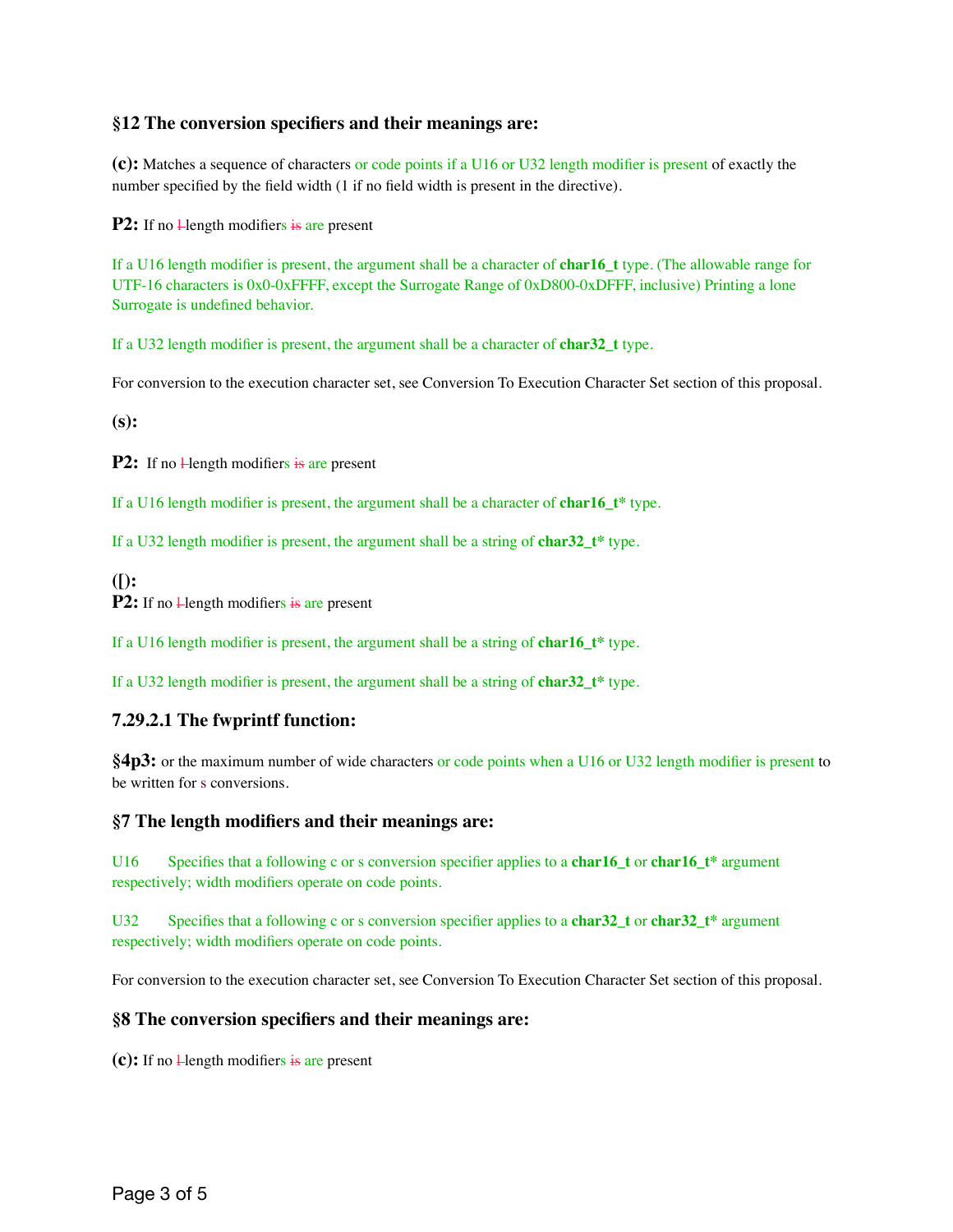# **§12 The conversion specifiers and their meanings are:**

**(c):** Matches a sequence of characters or code points if a U16 or U32 length modifier is present of exactly the number specified by the field width (1 if no field width is present in the directive).

**P2:** If no  $\frac{1}{2}$  length modifiers is are present

If a U16 length modifier is present, the argument shall be a character of **char16\_t** type. (The allowable range for UTF-16 characters is 0x0-0xFFFF, except the Surrogate Range of 0xD800-0xDFFF, inclusive) Printing a lone Surrogate is undefined behavior.

If a U32 length modifier is present, the argument shall be a character of **char32\_t** type.

For conversion to the execution character set, see Conversion To Execution Character Set section of this proposal.

**(s):** 

**P2:** If no **H**ength modifiers is are present

If a U16 length modifier is present, the argument shall be a character of **char16\_t\*** type.

If a U32 length modifier is present, the argument shall be a string of **char32\_t\*** type.

**([): P2:** If no **Hength** modifiers is are present

If a U16 length modifier is present, the argument shall be a string of **char16\_t\*** type.

If a U32 length modifier is present, the argument shall be a string of **char32\_t\*** type.

# **7.29.2.1 The fwprintf function:**

**§4p3:** or the maximum number of wide characters or code points when a U16 or U32 length modifier is present to be written for s conversions.

### **§7 The length modifiers and their meanings are:**

U16 Specifies that a following c or s conversion specifier applies to a **char16\_t** or **char16\_t\*** argument respectively; width modifiers operate on code points.

U32 Specifies that a following c or s conversion specifier applies to a **char32\_t** or **char32\_t**\* argument respectively; width modifiers operate on code points.

For conversion to the execution character set, see Conversion To Execution Character Set section of this proposal.

### **§8 The conversion specifiers and their meanings are:**

 $(c)$ : If no  $\frac{1}{c}$  length modifiers is are present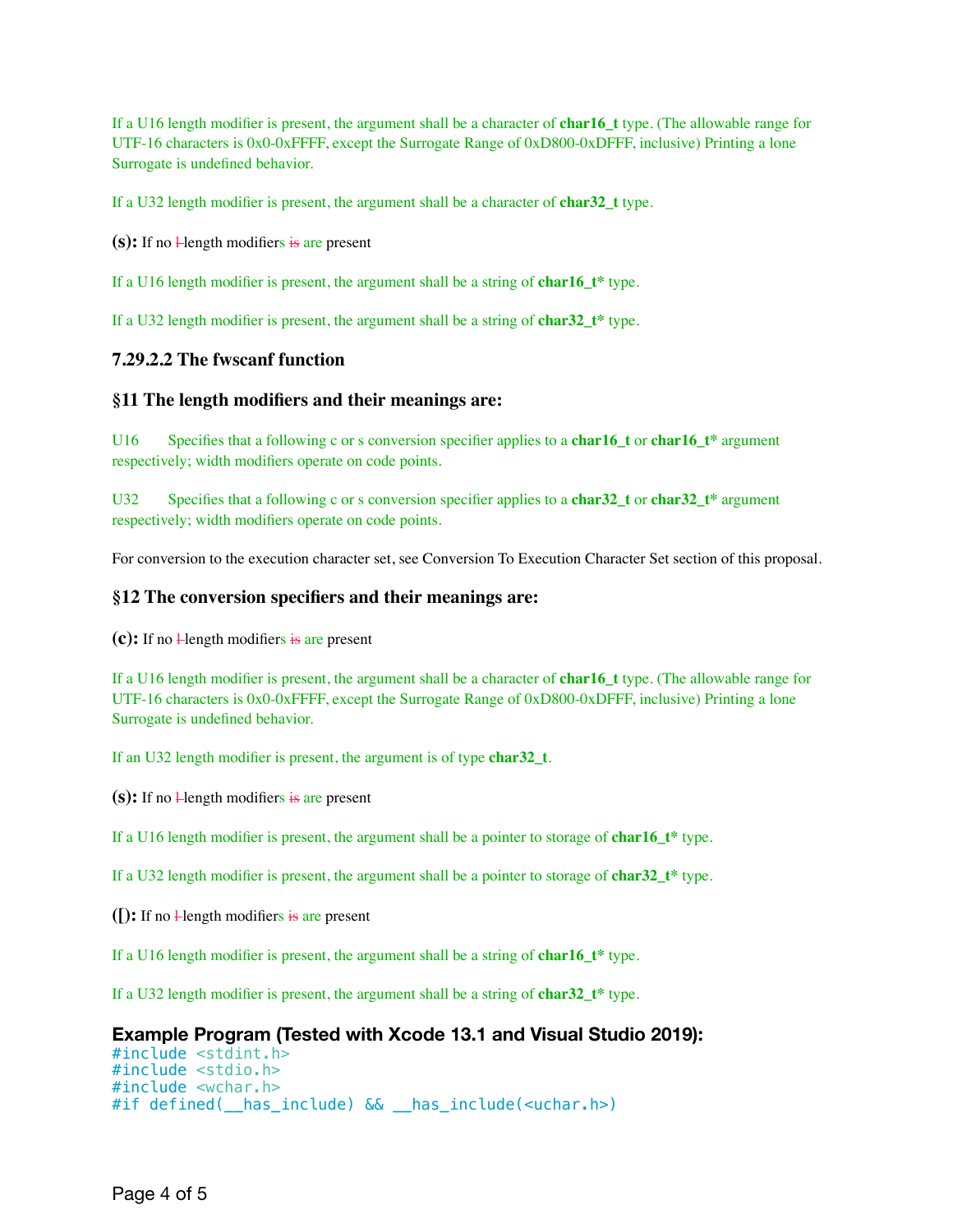If a U16 length modifier is present, the argument shall be a character of **char16\_t** type. (The allowable range for UTF-16 characters is 0x0-0xFFFF, except the Surrogate Range of 0xD800-0xDFFF, inclusive) Printing a lone Surrogate is undefined behavior.

If a U32 length modifier is present, the argument shall be a character of **char32\_t** type.

 $(s)$ : If no  $\frac{1}{2}$  length modifiers is are present

If a U16 length modifier is present, the argument shall be a string of **char16\_t\*** type.

If a U32 length modifier is present, the argument shall be a string of **char32\_t\*** type.

### **7.29.2.2 The fwscanf function**

#### **§11 The length modifiers and their meanings are:**

U16 Specifies that a following c or s conversion specifier applies to a **char16\_t** or **char16\_t\*** argument respectively; width modifiers operate on code points.

U32 Specifies that a following c or s conversion specifier applies to a **char32\_t** or **char32\_t**\* argument respectively; width modifiers operate on code points.

For conversion to the execution character set, see Conversion To Execution Character Set section of this proposal.

#### **§12 The conversion specifiers and their meanings are:**

 $(c)$ : If no  $\frac{1}{2}$  length modifiers is are present

If a U16 length modifier is present, the argument shall be a character of **char16\_t** type. (The allowable range for UTF-16 characters is 0x0-0xFFFF, except the Surrogate Range of 0xD800-0xDFFF, inclusive) Printing a lone Surrogate is undefined behavior.

If an U32 length modifier is present, the argument is of type **char32\_t**.

 $(s)$ : If no  $\frac{1}{2}$  length modifiers is are present

If a U16 length modifier is present, the argument shall be a pointer to storage of **char16\_t\*** type.

If a U32 length modifier is present, the argument shall be a pointer to storage of **char32\_t\*** type.

 $(\cdot)$ : If no  $\downarrow$  length modifiers is are present

If a U16 length modifier is present, the argument shall be a string of **char16\_t\*** type.

If a U32 length modifier is present, the argument shall be a string of **char32\_t\*** type.

### **Example Program (Tested with Xcode 13.1 and Visual Studio 2019):**

#include <stdint.h> #include <stdio.h> #include <wchar.h> #if defined(\_\_has\_include) && \_\_has\_include(<uchar.h>)